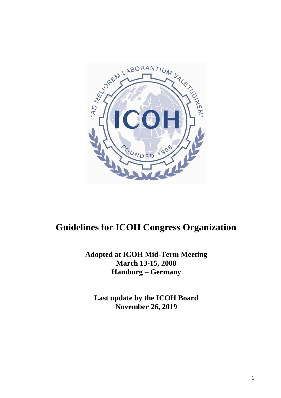

# **Guidelines for ICOH Congress Organization**

**Adopted at ICOH Mid-Term Meeting March 13-15, 2008 Hamburg – Germany**

**Last update by the ICOH Board November 26, 2019**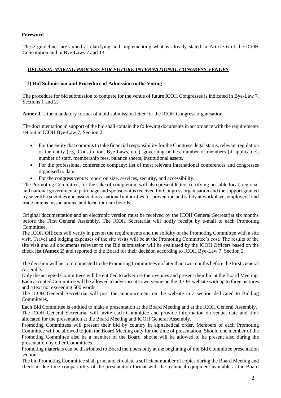# **Foreword**

These guidelines are aimed at clarifying and implementing what is already stated in Article 6 of the ICOH Constitution and in Bye-Laws 7 and 13.

# *DECISION-MAKING PROCESS FOR FUTURE INTERNATIONAL CONGRESS VENUES*

## **1) Bid Submission and Procedure of Admission to the Voting**

The procedure for bid submission to compete for the venue of future ICOH Congresses is indicated in Bye-Law 7, Sections 1 and 2.

**Annex 1** is the mandatory format of a bid submission letter for the ICOH Congress organisation.

The documentation in support of the bid shall contain the following documents in accordance with the requirements set out in ICOH Bye-Law 7, Section 2.

- For the entity that commits to take financial responsibility for the Congress: legal status, relevant regulation of the entity (e.g. Constitution, Bye-Laws, etc.), governing bodies, number of members (if applicable), number of staff, membership fees, balance sheets, institutional assets.
- For the professional conference company: list of most relevant international conferences and congresses organised to date.
- For the congress venue: report on size, services, security, and accessibility.

The Promoting Committee, for the sake of completion, will also present letters certifying possible local, regional and national governmental patronage and sponsorships received for Congress organisation and the support granted by scientific societies and associations, national authorities for prevention and safety at workplace, employers' and trade unions' associations, and local tourism boards.

Original documentation and an electronic version must be received by the ICOH General Secretariat six months before the First General Assembly. The ICOH Secretariat will notify receipt by e-mail to each Promoting Committee.

The ICOH Officers will verify in person the requirements and the solidity of the Promoting Committee with a site visit. Travel and lodging expenses of the site visits will be at the Promoting Committee's cost. The results of the site visit and all documents relevant to the Bid submission will be evaluated by the ICOH Officers based on the check list **(Annex 2)** and reported to the Board for their decision according to ICOH Bye-Law 7, Section 2.

The decision will be communicated to the Promoting Committees no later than two months before the First General Assembly.

Only the accepted Committees will be entitled to advertise their venues and present their bid at the Board Meeting. Each accepted Committee will be allowed to advertise its own venue on the ICOH website with up to three pictures and a text not exceeding 500 words.

The ICOH General Secretariat will post the announcement on the website in a section dedicated to Bidding Committees.

Each Bid Committee is entitled to make a presentation at the Board Meeting and at the ICOH General Assembly.

The ICOH General Secretariat will invite each Committee and provide information on venue, date and time allocated for the presentation at the Board Meeting and ICOH General Assembly.

Promoting Committees will present their bid by country in alphabetical order. Members of each Promoting Committee will be allowed to join the Board Meeting only for the time of presentation. Should one member of the Promoting Committee also be a member of the Board, she/he will be allowed to be present also during the presentation by other Committees.

Promoting materials can be distributed to Board members only at the beginning of the Bid Committee presentation section.

The bid Promoting Committee shall print and circulate a sufficient number of copies during the Board Meeting and check in due time compatibility of the presentation format with the technical equipment available at the Board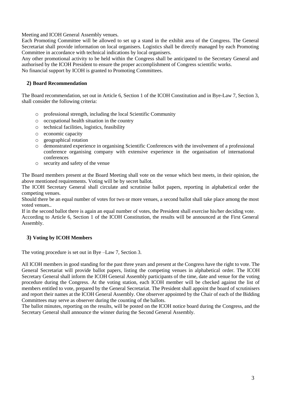Meeting and ICOH General Assembly venues.

Each Promoting Committee will be allowed to set up a stand in the exhibit area of the Congress. The General Secretariat shall provide information on local organisers. Logistics shall be directly managed by each Promoting Committee in accordance with technical indications by local organisers.

Any other promotional activity to be held within the Congress shall be anticipated to the Secretary General and authorised by the ICOH President to ensure the proper accomplishment of Congress scientific works. No financial support by ICOH is granted to Promoting Committees.

## **2) Board Recommendation**

The Board recommendation, set out in Article 6, Section 1 of the ICOH Constitution and in Bye-Law 7, Section 3, shall consider the following criteria:

- o professional strength, including the local Scientific Community
- o occupational health situation in the country
- o technical facilities, logistics, feasibility
- o economic capacity
- o geographical rotation
- o demonstrated experience in organising Scientific Conferences with the involvement of a professional conference organising company with extensive experience in the organisation of international conferences
- o security and safety of the venue

The Board members present at the Board Meeting shall vote on the venue which best meets, in their opinion, the above mentioned requirements. Voting will be by secret ballot.

The ICOH Secretary General shall circulate and scrutinise ballot papers, reporting in alphabetical order the competing venues.

Should there be an equal number of votes for two or more venues, a second ballot shall take place among the most voted venues..

If in the second ballot there is again an equal number of votes, the President shall exercise his/her deciding vote. According to Article 6, Section 1 of the ICOH Constitution, the results will be announced at the First General Assembly.

## **3) Voting by ICOH Members**

The voting procedure is set out in Bye –Law 7, Section 3.

All ICOH members in good standing for the past three years and present at the Congress have the right to vote. The General Secretariat will provide ballot papers, listing the competing venues in alphabetical order. The ICOH Secretary General shall inform the ICOH General Assembly participants of the time, date and venue for the voting procedure during the Congress. At the voting station, each ICOH member will be checked against the list of members entitled to vote, prepared by the General Secretariat. The President shall appoint the board of scrutinisers and report their names at the ICOH General Assembly. One observer appointed by the Chair of each of the Bidding Committees may serve as observer during the counting of the ballots.

The ballot minutes, reporting on the results, will be posted on the ICOH notice board during the Congress, and the Secretary General shall announce the winner during the Second General Assembly.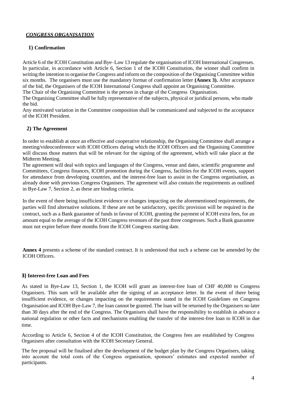# *CONGRESS ORGANISATION*

# **1) Confirmation**

Article 6 of the ICOH Constitution and Bye–Law 13 regulate the organisation of ICOH International Congresses. In particular, in accordance with Article 6, Section 1 of the ICOH Constitution, the winner shall confirm in writing the intention to organise the Congress and inform on the composition of the Organising Committee within six months. The organisers must use the mandatory format of confirmation letter **(Annex 3).** After acceptance of the bid, the Organisers of the ICOH International Congress shall appoint an Organising Committee.

The Chair of the Organising Committee is the person in charge of the Congress Organisation.

The Organising Committee shall be fully representative of the subjects, physical or juridical persons, who made the bid.

Any motivated variation in the Committee composition shall be communicated and subjected to the acceptance of the ICOH President.

# **2) The Agreement**

In order to establish at once an effective and cooperative relationship, the Organising Committee shall arrange a meeting/videoconference with ICOH Officers during which the ICOH Officers and the Organising Committee will discuss those matters that will be relevant for the signing of the agreement, which will take place at the Midterm Meeting.

The agreement will deal with topics and languages of the Congress, venue and dates, scientific programme and Committees, Congress finances, ICOH promotion during the Congress, facilities for the ICOH events, support for attendance from developing countries, and the interest-free loan to assist in the Congress organisation, as already done with previous Congress Organisers. The agreement will also contain the requirements as outlined in Bye-Law 7, Section 2, as these are binding criteria.

In the event of there being insufficient evidence or changes impacting on the aforementioned requirements, the parties will find alternative solutions. If these are not be satisfactory, specific provision will be required in the contract, such as a Bank guarantee of funds in favour of ICOH, granting the payment of ICOH extra fees, for an amount equal to the average of the ICOH Congress revenues of the past three congresses. Such a Bank guarantee must not expire before three months from the ICOH Congress starting date.

**Annex 4** presents a scheme of the standard contract. It is understood that such a scheme can be amended by the ICOH Officers.

## **3) Interest-free Loan and Fees**

As stated in Bye-Law 13, Section 1, the ICOH will grant an interest-free loan of CHF 40,000 to Congress Organisers. This sum will be available after the signing of an acceptance letter. In the event of there being insufficient evidence, or changes impacting on the requirements stated in the ICOH Guidelines on Congress Organisation and ICOH Bye-Law 7, the loan cannot be granted. The loan will be returned by the Organisers no later than 30 days after the end of the Congress. The Organisers shall have the responsibility to establish in advance a national regulation or other facts and mechanisms enabling the transfer of the interest-free loan to ICOH in due time.

According to Article 6, Section 4 of the ICOH Constitution, the Congress fees are established by Congress Organisers after consultation with the ICOH Secretary General.

The fee proposal will be finalised after the development of the budget plan by the Congress Organisers, taking into account the total costs of the Congress organisation, sponsors' estimates and expected number of participants.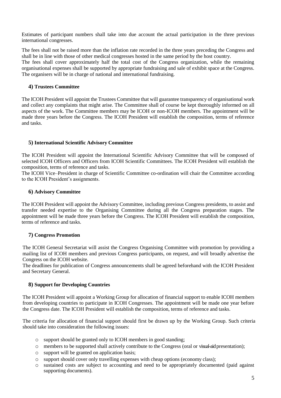Estimates of participant numbers shall take into due account the actual participation in the three previous international congresses.

The fees shall not be raised more than the inflation rate recorded in the three years preceding the Congress and shall be in line with those of other medical congresses hosted in the same period by the host country. The fees shall cover approximately half the total cost of the Congress organization, while the remaining organisational expenses shall be supported by appropriate fundraising and sale of exhibit space at the Congress. The organisers will be in charge of national and international fundraising.

## **4) Trustees Committee**

The ICOH President will appoint the Trustees Committee that will guarantee transparency of organisational work and collect any complaints that might arise. The Committee shall of course be kept thoroughly informed on all aspects of the work. The Committee members may be ICOH or non-ICOH members. The appointment will be made three years before the Congress. The ICOH President will establish the composition, terms of reference and tasks.

### **5) International Scientific Advisory Committee**

The ICOH President will appoint the International Scientific Advisory Committee that will be composed of selected ICOH Officers and Officers from ICOH Scientific Committees. The ICOH President will establish the composition, terms of reference and tasks.

The ICOH Vice–President in charge of Scientific Committee co-ordination will chair the Committee according to the ICOH President's assignments.

#### **6) Advisory Committee**

The ICOH President will appoint the Advisory Committee, including previous Congress presidents, to assist and transfer needed expertise to the Organising Committee during all the Congress preparation stages. The appointment will be made three years before the Congress. The ICOH President will establish the composition, terms of reference and tasks.

## **7) Congress Promotion**

The ICOH General Secretariat will assist the Congress Organising Committee with promotion by providing a mailing list of ICOH members and previous Congress participants, on request, and will broadly advertise the Congress on the ICOH website.

The deadlines for publication of Congress announcements shall be agreed beforehand with the ICOH President and Secretary General.

## **8) Support for Developing Countries**

The ICOH President will appoint a Working Group for allocation of financial support to enable ICOH members from developing countries to participate in ICOH Congresses. The appointment will be made one year before the Congress date. The ICOH President will establish the composition, terms of reference and tasks.

The criteria for allocation of financial support should first be drawn up by the Working Group. Such criteria should take into consideration the following issues:

- o support should be granted only to ICOH members in good standing;
- o members to be supported shall actively contribute to the Congress (oral or visual-aid presentation);
- o support will be granted on application basis;
- o support should cover only travelling expenses with cheap options (economy class);
- o sustained costs are subject to accounting and need to be appropriately documented (paid against supporting documents).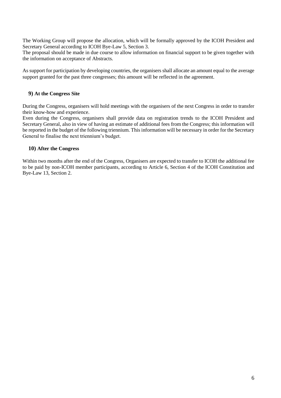The Working Group will propose the allocation, which will be formally approved by the ICOH President and Secretary General according to ICOH Bye-Law 5, Section 3.

The proposal should be made in due course to allow information on financial support to be given together with the information on acceptance of Abstracts.

As support for participation by developing countries, the organisers shall allocate an amount equal to the average support granted for the past three congresses; this amount will be reflected in the agreement.

### **9) At the Congress Site**

During the Congress, organisers will hold meetings with the organisers of the next Congress in order to transfer their know-how and experience.

Even during the Congress, organisers shall provide data on registration trends to the ICOH President and Secretary General, also in view of having an estimate of additional fees from the Congress; this information will be reported in the budget of the following triennium. This information will be necessary in order for the Secretary General to finalise the next triennium's budget.

### **10) After the Congress**

Within two months after the end of the Congress, Organisers are expected to transfer to ICOH the additional fee to be paid by non-ICOH member participants, according to Article 6, Section 4 of the ICOH Constitution and Bye-Law 13, Section 2.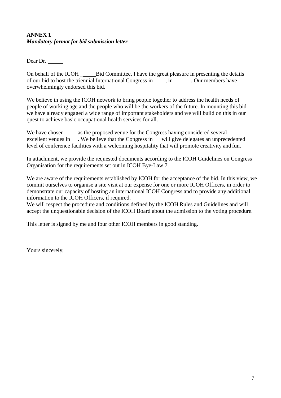# **ANNEX 1** *Mandatory format for bid submission letter*

Dear Dr.

On behalf of the ICOH \_ Bid Committee, I have the great pleasure in presenting the details of our bid to host the triennial International Congress in , in . Our members have overwhelmingly endorsed this bid.

We believe in using the ICOH network to bring people together to address the health needs of people of working age and the people who will be the workers of the future. In mounting this bid we have already engaged a wide range of important stakeholders and we will build on this in our quest to achieve basic occupational health services for all.

We have chosen\_\_\_\_\_\_\_\_ as the proposed venue for the Congress having considered several excellent venues in . We believe that the Congress in will give delegates an unprecedented level of conference facilities with a welcoming hospitality that will promote creativity and fun.

In attachment, we provide the requested documents according to the ICOH Guidelines on Congress Organisation for the requirements set out in ICOH Bye-Law 7.

We are aware of the requirements established by ICOH for the acceptance of the bid. In this view, we commit ourselves to organise a site visit at our expense for one or more ICOH Officers, in order to demonstrate our capacity of hosting an international ICOH Congress and to provide any additional information to the ICOH Officers, if required.

We will respect the procedure and conditions defined by the ICOH Rules and Guidelines and will accept the unquestionable decision of the ICOH Board about the admission to the voting procedure.

This letter is signed by me and four other ICOH members in good standing.

Yours sincerely,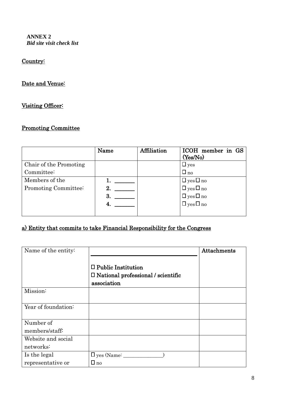**ANNEX 2** *Bid site visit check list*

# Country:

# Date and Venue:

# Visiting Officer:

# Promoting Committee

|                        | Name | Affiliation | ICOH member in GS<br>(Yes/No) |
|------------------------|------|-------------|-------------------------------|
| Chair of the Promoting |      |             | $\Box$ yes                    |
| Committee:             |      |             | $\Box$ no                     |
| Members of the         |      |             | $\Box$ yes $\Box$ no          |
| Promoting Committee:   | 2.   |             | $\Box$ yes $\Box$ no          |
|                        | 3    |             | $\Box$ yes $\Box$ no          |
|                        | 4    |             | $\Box$ yes $\Box$ no          |
|                        |      |             |                               |

# a) Entity that commits to take Financial Responsibility for the Congress

| Name of the entity: |                                           | Attachments |
|---------------------|-------------------------------------------|-------------|
|                     |                                           |             |
|                     | $\Box$ Public Institution                 |             |
|                     | $\Box$ National professional / scientific |             |
|                     | association                               |             |
| Mission:            |                                           |             |
|                     |                                           |             |
| Year of foundation: |                                           |             |
|                     |                                           |             |
| Number of           |                                           |             |
| members/staff:      |                                           |             |
| Website and social  |                                           |             |
| networks:           |                                           |             |
| Is the legal        | $\square$ yes (Name: $\_\_$               |             |
| representative or   | $\Box$ no                                 |             |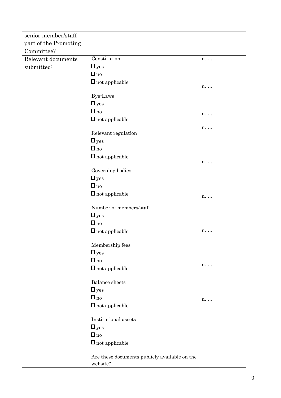| senior member/staff   |                                               |    |
|-----------------------|-----------------------------------------------|----|
| part of the Promoting |                                               |    |
| Committee?            |                                               |    |
| Relevant documents    | Constitution                                  | n. |
| submitted:            | $\Box$ yes                                    |    |
|                       | $\Box$ no                                     |    |
|                       | $\Box$ not applicable                         |    |
|                       |                                               | n. |
|                       | <b>Bye-Laws</b>                               |    |
|                       | $\Box$ yes                                    |    |
|                       | $\Box$ no                                     | n. |
|                       | $\Box$ not applicable                         |    |
|                       |                                               | n. |
|                       | Relevant regulation                           |    |
|                       | $\Box$ yes                                    |    |
|                       | $\Box$ no                                     |    |
|                       | $\Box$ not applicable                         |    |
|                       |                                               | n. |
|                       | Governing bodies                              |    |
|                       | $\Box$ yes                                    |    |
|                       | $\Box$ no                                     |    |
|                       | $\Box$ not applicable                         | n. |
|                       |                                               |    |
|                       | Number of members/staff                       |    |
|                       | $\Box$ yes                                    |    |
|                       | $\Box$ no                                     |    |
|                       | $\Box$ not applicable                         | n. |
|                       |                                               |    |
|                       | Membership fees                               |    |
|                       | $\Box$ yes                                    |    |
|                       | $\Box$ no                                     | n. |
|                       | $\Box$ not applicable                         |    |
|                       | <b>Balance</b> sheets                         |    |
|                       | $\Box$ yes                                    |    |
|                       | $\Box$ no                                     |    |
|                       |                                               | n. |
|                       | $\Box$ not applicable                         |    |
|                       | Institutional assets                          |    |
|                       | $\Box$ yes                                    |    |
|                       | $\Box$ no                                     |    |
|                       | $\Box$ not applicable                         |    |
|                       |                                               |    |
|                       | Are these documents publicly available on the |    |
|                       | website?                                      |    |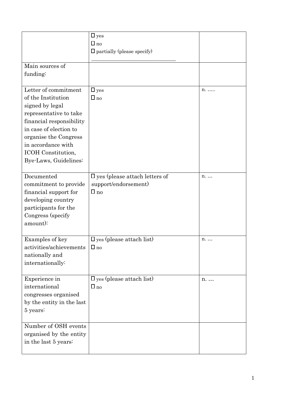|                                                                                                                                                                                                                                             | $\Box$ yes<br>$\square$ no<br>$\Box$ partially (please specify)              |    |
|---------------------------------------------------------------------------------------------------------------------------------------------------------------------------------------------------------------------------------------------|------------------------------------------------------------------------------|----|
| Main sources of<br>funding:                                                                                                                                                                                                                 |                                                                              |    |
| Letter of commitment<br>of the Institution<br>signed by legal<br>representative to take<br>financial responsibility<br>in case of election to<br>organise the Congress<br>in accordance with<br>ICOH Constitution,<br>Bye-Laws, Guidelines: | $\Box$ yes<br>$\Box$ no                                                      | n. |
| Documented<br>commitment to provide<br>financial support for<br>developing country<br>participants for the<br>Congress (specify<br>amount):                                                                                                 | $\square$ yes (please attach letters of<br>support/endorsement)<br>$\Box$ no | n. |
| Examples of key<br>activities/achievements<br>nationally and<br>internationally:                                                                                                                                                            | $\square$ yes (please attach list)<br>$\Box$ no                              | n. |
| Experience in<br>international<br>congresses organised<br>by the entity in the last<br>5 years:                                                                                                                                             | $\square$ yes (please attach list)<br>$\Box$ no                              | n. |
| Number of OSH events<br>organised by the entity<br>in the last 5 years:                                                                                                                                                                     |                                                                              |    |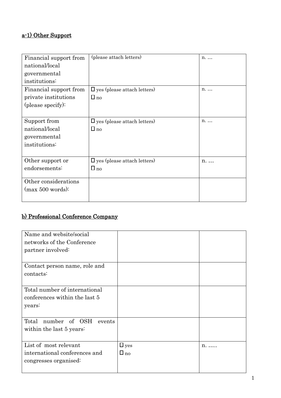# a-1) Other Support

| Financial support from | (please attach letters)            | n.          |
|------------------------|------------------------------------|-------------|
| national/local         |                                    |             |
| governmental           |                                    |             |
| institutions:          |                                    |             |
| Financial support from | $\Box$ yes (please attach letters) | $n_{\cdot}$ |
| private institutions   | $\Box$ no                          |             |
| (please specify):      |                                    |             |
|                        |                                    |             |
| Support from           | $\Box$ yes (please attach letters) | $n_{\cdot}$ |
| national/local         | $\Box$ no                          |             |
| governmental           |                                    |             |
| institutions:          |                                    |             |
|                        |                                    |             |
| Other support or       | $\Box$ yes (please attach letters) | $n_{\cdot}$ |
| endorsements:          | $\Box$ no                          |             |
|                        |                                    |             |
| Other considerations   |                                    |             |
| $(max 500 words)$ :    |                                    |             |
|                        |                                    |             |

# b) Professional Conference Company

| Name and website/social       |            |              |
|-------------------------------|------------|--------------|
| networks of the Conference    |            |              |
| partner involved:             |            |              |
|                               |            |              |
| Contact person name, role and |            |              |
| contacts:                     |            |              |
|                               |            |              |
| Total number of international |            |              |
| conferences within the last 5 |            |              |
| years:                        |            |              |
|                               |            |              |
| Total number of OSH events    |            |              |
| within the last 5 years:      |            |              |
|                               |            |              |
| List of most relevant         | $\Box$ yes | $n_{\ldots}$ |
| international conferences and | $\Box$ no  |              |
| congresses organised:         |            |              |
|                               |            |              |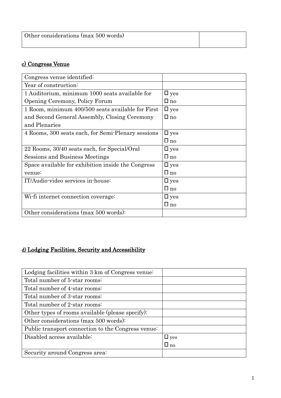| Other considerations (max 500 words) |  |
|--------------------------------------|--|
|                                      |  |

# c) Congress Venue

| Congress venue identified:                         |               |
|----------------------------------------------------|---------------|
| Year of construction:                              |               |
| 1 Auditorium, minimum 1000 seats available for     | $\square$ yes |
| Opening Ceremony, Policy Forum                     | $\Box$ no     |
| 1 Room, minimum 400/500 seats available for First  | $\square$ yes |
| and Second General Assembly, Closing Ceremony      | $\Box$ no     |
| and Plenaries                                      |               |
| 4 Rooms, 300 seats each, for Semi-Plenary sessions | $\square$ yes |
|                                                    | $\Box$ no     |
| 22 Rooms, 30/40 seats each, for Special/Oral       | $\square$ yes |
| Sessions and Business Meetings                     | $\Box$ no     |
| Space available for exhibition inside the Congress | $\square$ yes |
| venue:                                             | $\Box$ no     |
| IT/Audio-video services in-house:                  | $\Box$ yes    |
|                                                    | $\Box$ no     |
| Wi-fi internet connection coverage:                | $\square$ yes |
|                                                    | $\Box$ no     |
| Other considerations (max 500 words):              |               |

# d) Lodging Facilities, Security and Accessibility

| Lodging facilities within 3 km of Congress venue:  |            |
|----------------------------------------------------|------------|
| Total number of 5-star rooms:                      |            |
| Total number of 4-star rooms:                      |            |
| Total number of 3-star rooms:                      |            |
| Total number of 2-star rooms:                      |            |
| Other types of rooms available (please specify):   |            |
| Other considerations (max 500 words):              |            |
| Public transport connection to the Congress venue: |            |
| Disabled access available:                         | $\Box$ yes |
|                                                    | $\Box$ no  |
| Security around Congress area:                     |            |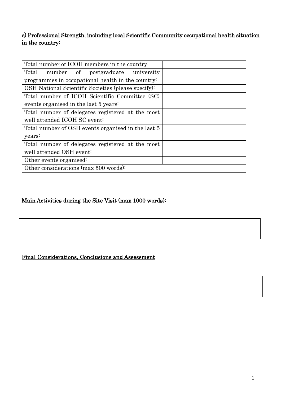# e) Professional Strength, including local Scientific Community occupational health situation in the country:

| Total number of ICOH members in the country:        |  |
|-----------------------------------------------------|--|
| Total number of postgraduate university             |  |
| programmes in occupational health in the country:   |  |
| OSH National Scientific Societies (please specify): |  |
| Total number of ICOH Scientific Committee (SC)      |  |
| events organised in the last 5 years:               |  |
| Total number of delegates registered at the most    |  |
| well attended ICOH SC event:                        |  |
| Total number of OSH events organised in the last 5  |  |
| years:                                              |  |
| Total number of delegates registered at the most    |  |
| well attended OSH event:                            |  |
| Other events organised:                             |  |
| Other considerations (max 500 words):               |  |

# Main Activities during the Site Visit (max 1000 words):

# Final Considerations, Conclusions and Assessment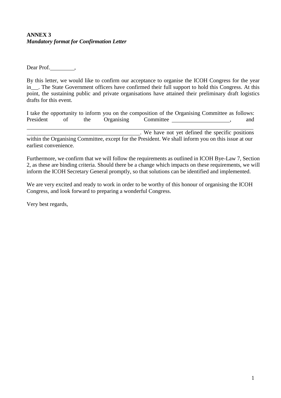# **ANNEX 3** *Mandatory format for Confirmation Letter*

Dear Prof.,

By this letter, we would like to confirm our acceptance to organise the ICOH Congress for the year in . The State Government officers have confirmed their full support to hold this Congress. At this point, the sustaining public and private organisations have attained their preliminary draft logistics drafts for this event.

|           |    |     |            | I take the opportunity to inform you on the composition of the Organising Committee as follows: |  |     |
|-----------|----|-----|------------|-------------------------------------------------------------------------------------------------|--|-----|
| President | Οt | the | Organising | Committee                                                                                       |  | and |
|           |    |     |            |                                                                                                 |  |     |
|           |    |     |            | . We have not yet defined the specific positions                                                |  |     |

within the Organising Committee, except for the President. We shall inform you on this issue at our earliest convenience.

Furthermore, we confirm that we will follow the requirements as outlined in ICOH Bye-Law 7, Section 2, as these are binding criteria. Should there be a change which impacts on these requirements, we will inform the ICOH Secretary General promptly, so that solutions can be identified and implemented.

We are very excited and ready to work in order to be worthy of this honour of organising the ICOH Congress, and look forward to preparing a wonderful Congress.

Very best regards,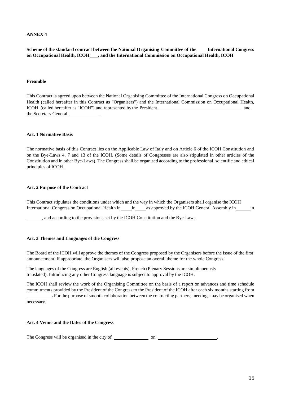#### **ANNEX 4**

**Scheme of the standard contract between the National Organising Committee of the International Congress on Occupational Health, ICOH , and the International Commission on Occupational Health, ICOH**

#### **Preamble**

This Contract is agreed upon between the National Organising Committee of the International Congress on Occupational Health (called hereafter in this Contract as "Organisers") and the International Commission on Occupational Health, ICOH (called hereafter as "ICOH") and represented by the President and the Secretary General .

#### **Art. 1 Normative Basis**

The normative basis of this Contract lies on the Applicable Law of Italy and on Article 6 of the ICOH Constitution and on the Bye-Laws 4, 7 and 13 of the ICOH. (Some details of Congresses are also stipulated in other articles of the Constitution and in other Bye-Laws). The Congress shall be organised according to the professional, scientific and ethical principles of ICOH.

#### **Art. 2 Purpose of the Contract**

This Contract stipulates the conditions under which and the way in which the Organisers shall organise the ICOH International Congress on Occupational Health in in as approved by the ICOH General Assembly in in

, and according to the provisions set by the ICOH Constitution and the Bye-Laws.

#### **Art. 3 Themes and Languages of the Congress**

The Board of the ICOH will approve the themes of the Congress proposed by the Organisers before the issue of the first announcement. If appropriate, the Organisers will also propose an overall theme for the whole Congress.

The languages of the Congress are English (all events), French (Plenary Sessions are simultaneously translated). Introducing any other Congress language is subject to approval by the ICOH.

The ICOH shall review the work of the Organising Committee on the basis of a report on advances and time schedule commitments provided by the President of the Congress to the President of the ICOH after each six months starting from **.** For the purpose of smooth collaboration between the contracting partners, meetings may be organised when necessary.

#### **Art. 4 Venue and the Dates of the Congress**

The Congress will be organised in the city of on **.**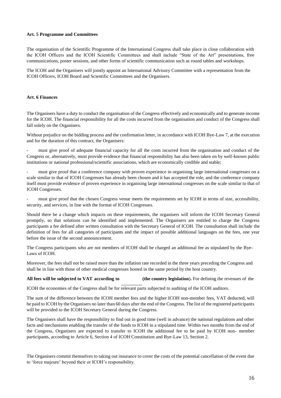#### **Art. 5 Programme and Committees**

The organisation of the Scientific Programme of the International Congress shall take place in close collaboration with the ICOH Officers and the ICOH Scientific Committees and shall include "State of the Art" presentations, free communications, poster sessions, and other forms of scientific communication such as round tables and workshops.

The ICOH and the Organisers will jointly appoint an International Advisory Committee with a representation from the ICOH Officers, ICOH Board and Scientific Committees and the Organisers.

#### **Art. 6 Finances**

The Organisers have a duty to conduct the organisation of the Congress effectively and economically and to generate income for the ICOH. The financial responsibility for all the costs incurred from the organisation and conduct of the Congress shall fall solely on the Organisers.

Without prejudice on the bidding process and the confirmation letter, in accordance with ICOH Bye-Law 7, at the execution and for the duration of this contract, the Organisers:

must give proof of adequate financial capacity for all the costs incurred from the organisation and conduct of the Congress or, alternatively, must provide evidence that financial responsibility has also been taken on by well-known public institutions or national professional/scientific associations, which are economically credible and stable;

must give proof that a conference company with proven experience in organising large international congresses on a scale similar to that of ICOH Congresses has already been chosen and it has accepted the role, and the conference company itself must provide evidence of proven experience in organising large international congresses on the scale similar to that of ICOH Congresses.

must give proof that the chosen Congress venue meets the requirements set by ICOH in terms of size, accessibility, security, and services, in line with the format of ICOH Congresses.

Should there be a change which impacts on these requirements, the organisers will inform the ICOH Secretary General promptly, so that solutions can be identified and implemented. The Organisers are entitled to charge the Congress participants a fee defined after written consultation with the Secretary General of ICOH. The consultation shall include the definition of fees for all categories of participants and the impact of possible additional languages on the fees, one year before the issue of the second announcement.

The Congress participants who are not members of ICOH shall be charged an additional fee as stipulated by the Bye-Laws of ICOH.

Moreover, the fees shall not be raised more than the inflation rate recorded in the three years preceding the Congress and shall be in line with those of other medical congresses hosted in the same period by the host country.

**All fees will be subjected to VAT according to (the country legislation**)**.** For defining the revenues of the

ICOH the economies of the Congress shall be for relevant parts subjected to auditing of the ICOH auditors.

The sum of the difference between the ICOH member fees and the higher ICOH non-member fees, VAT deducted, will be paid to ICOH by the Organisers no later than 60 days after the end of the Congress. The list of the registered participants will be provided to the ICOH Secretary General during the Congress.

The Organisers shall have the responsibility to find out in good time (well in advance) the national regulations and other facts and mechanisms enabling the transfer of the funds to ICOH in a stipulated time. Within two months from the end of the Congress, Organisers are expected to transfer to ICOH the additional fee to be paid by ICOH non- member participants, according to Article 6, Section 4 of ICOH Constitution and Bye-Law 13, Section 2.

The Organisers commit themselves to taking out insurance to cover the costs of the potential cancellation of the event due to 'force majeure' beyond their or ICOH's responsibility.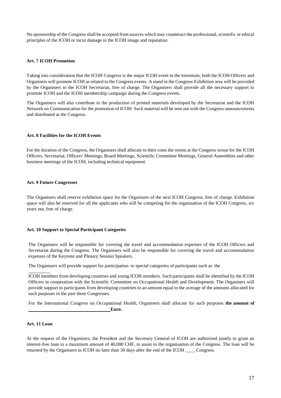No sponsorship of the Congress shall be accepted from sources which may counteract the professional, scientific or ethical principles of the ICOH or incur damage to the ICOH image and reputation.

#### **Art. 7 ICOH Promotion**

Taking into consideration that the ICOH Congress is the major ICOH event in the triennium, both the ICOH Officers and Organisers will promote ICOH as related to the Congress events. A stand in the Congress Exhibition area will be provided by the Organisers to the ICOH Secretariat, free of charge. The Organisers shall provide all the necessary support to promote ICOH and the ICOH membership campaign during the Congress events.

The Organisers will also contribute to the production of printed materials developed by the Secretariat and the ICOH Network on Communication for the promotion of ICOH. Such material will be sent out with the Congress announcements and distributed at the Congress.

#### **Art. 8 Facilities for the ICOH Events**

For the duration of the Congress, the Organisers shall allocate to their costs the rooms at the Congress venue for the ICOH Officers, Secretariat, Officers' Meetings, Board Meetings, Scientific Committee Meetings, General Assemblies and other business meetings of the ICOH, including technical equipment.

#### **Art. 9 Future Congresses**

The Organisers shall reserve exhibition space for the Organisers of the next ICOH Congress, free of charge. Exhibition space will also be reserved for all the applicants who will be competing for the organisation of the ICOH Congress, six years out, free of charge.

### **Art. 10 Support to Special Participant Categories**

The Organisers will be responsible for covering the travel and accommodation expenses of the ICOH Officers and Secretariat during the Congress. The Organisers will also be responsible for covering the travel and accommodation expenses of the Keynote and Plenary Session Speakers.

The Organisers will provide support for participation to special categories of participants such as the

ICOH members from developing countries and young ICOH members. Such participants shall be identified by the ICOH Officers in cooperation with the Scientific Committee on Occupational Health and Development. The Organisers will provide support to participants from developing countries to an amount equal to the average of the amounts allocated for such purposes in the past three Congresses.

For the International Congress on Occupational Health, Organisers shall allocate for such purposes **the amount of Euro.** 

#### **Art. 11 Loan**

At the request of the Organisers, the President and the Secretary General of ICOH are authorised jointly to grant an interest-free loan to a maximum amount of 40,000 CHF, to assist in the organisation of the Congress. The loan will be returned by the Organisers to ICOH no later than 30 days after the end of the ICOH \_\_\_\_ Congress.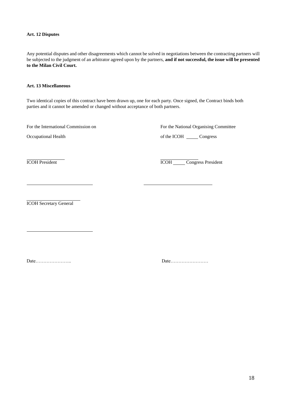#### **Art. 12 Disputes**

Any potential disputes and other disagreements which cannot be solved in negotiations between the contracting partners will be subjected to the judgment of an arbitrator agreed upon by the partners, **and if not successful, the issue will be presented to the Milan Civil Court.**

#### **Art. 13 Miscellaneous**

Two identical copies of this contract have been drawn up, one for each party. Once signed, the Contract binds both parties and it cannot be amended or changed without acceptance of both partners.

For the International Commission on For the National Organising Committee

Occupational Health of the ICOH Congress

ICOH President ICOH Congress President

ICOH Secretary General

Date………………….. Date……………………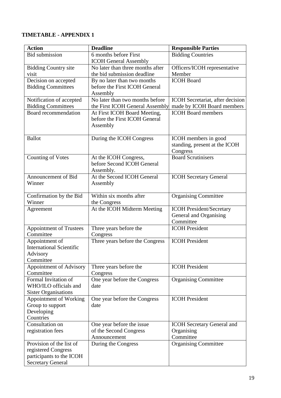# **TIMETABLE - APPENDIX 1**

| <b>Action</b>                                     | <b>Deadline</b>                                               | <b>Responsible Parties</b>                              |
|---------------------------------------------------|---------------------------------------------------------------|---------------------------------------------------------|
| <b>Bid submission</b>                             | 6 months before First                                         | <b>Bidding Countries</b>                                |
|                                                   | <b>ICOH General Assembly</b>                                  |                                                         |
| <b>Bidding Country site</b>                       | No later than three months after                              | Officers/ICOH representative                            |
| visit                                             | the bid submission deadline                                   | Member                                                  |
| Decision on accepted                              | By no later than two months                                   | <b>ICOH</b> Board                                       |
| <b>Bidding Committees</b>                         | before the First ICOH General                                 |                                                         |
|                                                   | Assembly                                                      |                                                         |
| Notification of accepted                          | No later than two months before                               | ICOH Secretariat, after decision                        |
| <b>Bidding Committees</b><br>Board recommendation | the First ICOH General Assembly                               | made by ICOH Board members<br><b>ICOH</b> Board members |
|                                                   | At First ICOH Board Meeting,<br>before the First ICOH General |                                                         |
|                                                   | Assembly                                                      |                                                         |
|                                                   |                                                               |                                                         |
| <b>Ballot</b>                                     | During the ICOH Congress                                      | ICOH members in good                                    |
|                                                   |                                                               | standing, present at the ICOH                           |
|                                                   |                                                               | Congress                                                |
| <b>Counting of Votes</b>                          | At the ICOH Congress,                                         | <b>Board Scrutinisers</b>                               |
|                                                   | before Second ICOH General                                    |                                                         |
|                                                   | Assembly.                                                     |                                                         |
| Announcement of Bid                               | At the Second ICOH General                                    | <b>ICOH Secretary General</b>                           |
| Winner                                            | Assembly                                                      |                                                         |
|                                                   |                                                               |                                                         |
| Confirmation by the Bid                           | Within six months after                                       | <b>Organising Committee</b>                             |
| Winner                                            | the Congress                                                  |                                                         |
| Agreement                                         | At the ICOH Midterm Meeting                                   | <b>ICOH President/Secretary</b>                         |
|                                                   |                                                               | General and Organising<br>Committee                     |
| <b>Appointment of Trustees</b>                    | Three years before the                                        | <b>ICOH</b> President                                   |
| Committee                                         | Congress                                                      |                                                         |
| Appointment of                                    | Three years before the Congress                               | <b>ICOH</b> President                                   |
| <b>International Scientific</b>                   |                                                               |                                                         |
| Advisory                                          |                                                               |                                                         |
| Committee                                         |                                                               |                                                         |
| Appointment of Advisory                           | Three years before the                                        | <b>ICOH</b> President                                   |
| Committee                                         | Congress                                                      |                                                         |
| Formal Invitation of                              | One year before the Congress                                  | <b>Organising Committee</b>                             |
| WHO/ILO officials and                             | date                                                          |                                                         |
| <b>Sister Organisations</b>                       |                                                               |                                                         |
| Appointment of Working                            | One year before the Congress                                  | <b>ICOH</b> President                                   |
| Group to support                                  | date                                                          |                                                         |
| Developing                                        |                                                               |                                                         |
| Countries<br>Consultation on                      |                                                               |                                                         |
| registration fees                                 | One year before the issue<br>of the Second Congress           | <b>ICOH</b> Secretary General and<br>Organising         |
|                                                   | Announcement                                                  | Committee                                               |
| Provision of the list of                          | During the Congress                                           | <b>Organising Committee</b>                             |
| registered Congress                               |                                                               |                                                         |
| participants to the ICOH                          |                                                               |                                                         |
| <b>Secretary General</b>                          |                                                               |                                                         |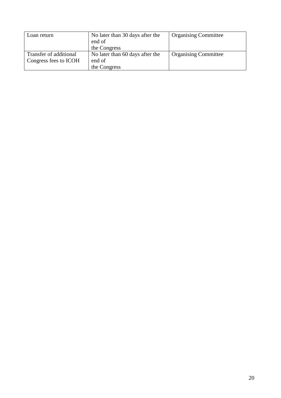| Loan return            | No later than 30 days after the | <b>Organising Committee</b> |
|------------------------|---------------------------------|-----------------------------|
|                        | end of                          |                             |
|                        | the Congress                    |                             |
| Transfer of additional | No later than 60 days after the | <b>Organising Committee</b> |
| Congress fees to ICOH  | end of                          |                             |
|                        | the Congress                    |                             |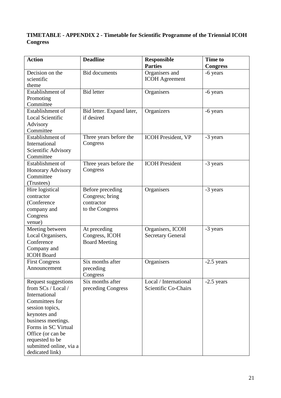# **TIMETABLE - APPENDIX 2 - Timetable for Scientific Programme of the Triennial ICOH Congress**

| <b>Action</b>           | <b>Deadline</b>           | <b>Responsible</b>        | <b>Time to</b>  |
|-------------------------|---------------------------|---------------------------|-----------------|
|                         |                           | <b>Parties</b>            | <b>Congress</b> |
| Decision on the         | <b>Bid documents</b>      | Organisers and            | -6 years        |
| scientific              |                           | <b>ICOH</b> Agreement     |                 |
| theme                   |                           |                           |                 |
| Establishment of        | <b>Bid letter</b>         | Organisers                | -6 years        |
| Promoting               |                           |                           |                 |
| Committee               |                           |                           |                 |
| Establishment of        | Bid letter. Expand later, | Organizers                | -6 years        |
| <b>Local Scientific</b> | if desired                |                           |                 |
| Advisory                |                           |                           |                 |
| Committee               |                           |                           |                 |
| Establishment of        | Three years before the    | <b>ICOH President, VP</b> | -3 years        |
| International           | Congress                  |                           |                 |
| Scientific Advisory     |                           |                           |                 |
| Committee               |                           |                           |                 |
| Establishment of        | Three years before the    | <b>ICOH</b> President     | -3 years        |
| Honorary Advisory       | Congress                  |                           |                 |
| Committee               |                           |                           |                 |
| (Trustees)              |                           |                           |                 |
| Hire logistical         | Before preceding          | Organisers                | -3 years        |
| contractor              | Congress; bring           |                           |                 |
| (Conference             | contractor                |                           |                 |
| company and             | to the Congress           |                           |                 |
| Congress                |                           |                           |                 |
| venue)                  |                           |                           |                 |
| Meeting between         | At preceding              | Organisers, ICOH          | -3 years        |
| Local Organisers,       | Congress, ICOH            | <b>Secretary General</b>  |                 |
| Conference              | <b>Board Meeting</b>      |                           |                 |
| Company and             |                           |                           |                 |
| <b>ICOH</b> Board       |                           |                           |                 |
| <b>First Congress</b>   | Six months after          | Organisers                | $-2.5$ years    |
| Announcement            | preceding                 |                           |                 |
|                         | Congress                  |                           |                 |
| Request suggestions     | Six months after          | Local / International     | $-2.5$ years    |
| from SCs / Local /      | preceding Congress        | Scientific Co-Chairs      |                 |
| International           |                           |                           |                 |
| Committees for          |                           |                           |                 |
| session topics,         |                           |                           |                 |
| keynotes and            |                           |                           |                 |
| business meetings.      |                           |                           |                 |
| Forms in SC Virtual     |                           |                           |                 |
| Office (or can be       |                           |                           |                 |
| requested to be         |                           |                           |                 |
| submitted online, via a |                           |                           |                 |
| dedicated link)         |                           |                           |                 |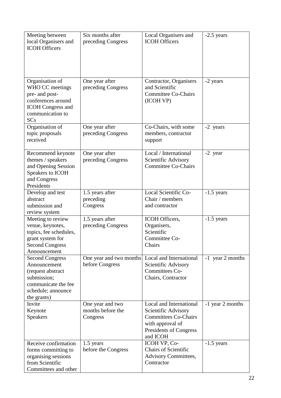| Meeting between<br>local Organisers and<br><b>ICOH Officers</b>                                                                          | Six months after<br>preceding Congress            | Local Organisers and<br><b>ICOH Officers</b>                                                                                                   | $-2.5$ years     |
|------------------------------------------------------------------------------------------------------------------------------------------|---------------------------------------------------|------------------------------------------------------------------------------------------------------------------------------------------------|------------------|
|                                                                                                                                          |                                                   |                                                                                                                                                |                  |
| Organisation of<br>WHO CC meetings<br>pre- and post-<br>conferences around<br><b>ICOH</b> Congress and<br>communication to<br><b>SCs</b> | One year after<br>preceding Congress              | Contractor, Organisers<br>and Scientific<br><b>Committee Co-Chairs</b><br>(ICOH VP)                                                            | -2 years         |
| Organisation of<br>topic proposals<br>received                                                                                           | One year after<br>preceding Congress              | Co-Chairs, with some<br>members, contractor<br>support                                                                                         | -2 years         |
| Recommend keynote<br>themes / speakers<br>and Opening Session<br>Speakers to ICOH<br>and Congress<br>Presidents                          | One year after<br>preceding Congress              | Local / International<br>Scientific Advisory<br><b>Committee Co-Chairs</b>                                                                     | -2 year          |
| Develop and test<br>abstract<br>submission and<br>review system                                                                          | 1.5 years after<br>preceding<br>Congress          | Local Scientific Co-<br>Chair / members<br>and contractor                                                                                      | $-1.5$ years     |
| Meeting to review<br>venue, keynotes,<br>topics, fee schedules,<br>grant system for<br><b>Second Congress</b><br>Announcement            | 1.5 years after<br>preceding Congress             | ICOH Officers,<br>Organisers,<br>Scientific<br>Committee Co-<br>Chairs                                                                         | $-1.5$ years     |
| <b>Second Congress</b><br>Announcement<br>(request abstract<br>submission;<br>communicate the fee<br>schedule; announce<br>the grants)   | One year and two months<br>before Congress        | Local and International<br>Scientific Advisory<br>Committees Co-<br>Chairs, Contractor                                                         | -1 year 2 months |
| Invite<br>Keynote<br><b>Speakers</b>                                                                                                     | One year and two<br>months before the<br>Congress | Local and International<br>Scientific Advisory<br><b>Committees Co-Chairs</b><br>with approval of<br><b>Presidents of Congress</b><br>and ICOH | -1 year 2 months |
| Receive confirmation<br>forms committing to<br>organising sessions<br>from Scientific<br>Committees and other                            | 1.5 years<br>before the Congress                  | ICOH VP, Co-<br><b>Chairs of Scientific</b><br><b>Advisory Committees,</b><br>Contractor                                                       | $-1.5$ years     |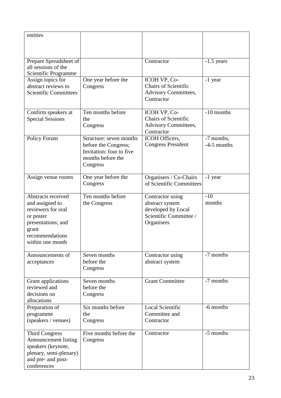| entities                                                                                                                                       |                                                                                                              |                                                                                                   |                             |
|------------------------------------------------------------------------------------------------------------------------------------------------|--------------------------------------------------------------------------------------------------------------|---------------------------------------------------------------------------------------------------|-----------------------------|
| Prepare Spreadsheet of<br>all sessions of the<br>Scientific Programme                                                                          |                                                                                                              | Contractor                                                                                        | $-1.5$ years                |
| Assign topics for<br>abstract reviews to<br><b>Scientific Committees</b>                                                                       | One year before the<br>Congress                                                                              | ICOH VP, Co-<br><b>Chairs of Scientific</b><br><b>Advisory Committees,</b><br>Contractor          | -1 year                     |
| Confirm speakers at<br><b>Special Sessions</b>                                                                                                 | Ten months before<br>the<br>Congress                                                                         | ICOH VP, Co-<br><b>Chairs of Scientific</b><br><b>Advisory Committees,</b><br>Contractor          | -10 months                  |
| Policy Forum                                                                                                                                   | Structure: seven months<br>before the Congress;<br>Invitation: four to five<br>months before the<br>Congress | ICOH Officers,<br><b>Congress President</b>                                                       | -7 months,<br>$-4-5$ months |
| Assign venue rooms                                                                                                                             | One year before the<br>Congress                                                                              | Organisers / Co-Chairs<br>of Scientific Committees                                                | -1 year                     |
| Abstracts received<br>and assigned to<br>reviewers for oral<br>or poster<br>presentations; and<br>grant<br>recommendations<br>within one month | Ten months before<br>the Congress                                                                            | Contractor using<br>abstract system<br>developed by Local<br>Scientific Committee /<br>Organisers | $-10$<br>months             |
| Announcements of<br>acceptances                                                                                                                | Seven months<br>before the<br>Congress                                                                       | Contractor using<br>abstract system                                                               | -7 months                   |
| Grant applications<br>reviewed and<br>decisions on<br>allocations                                                                              | Seven months<br>before the<br>Congress                                                                       | <b>Grant Committee</b>                                                                            | -7 months                   |
| Preparation of<br>programme<br>(speakers / venues)                                                                                             | Six months before<br>the<br>Congress                                                                         | <b>Local Scientific</b><br>Committee and<br>Contractor                                            | -6 months                   |
| <b>Third Congress</b><br><b>Announcement listing</b><br>speakers (keynote,<br>plenary, semi-plenary)<br>and pre- and post-<br>conferences      | Five months before the<br>Congress                                                                           | Contractor                                                                                        | -5 months                   |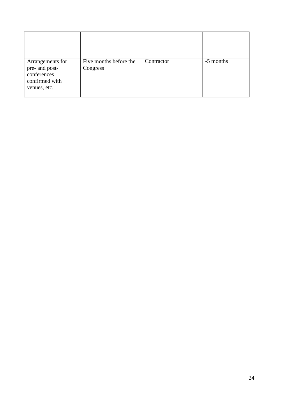| Arrangements for<br>pre- and post-<br>conferences<br>confirmed with<br>venues, etc. | Five months before the<br>Congress | Contractor | -5 months |
|-------------------------------------------------------------------------------------|------------------------------------|------------|-----------|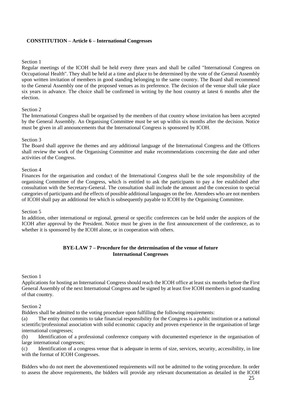## **CONSTITUTION – Article 6 – International Congresses**

#### Section 1

Regular meetings of the ICOH shall be held every three years and shall be called "International Congress on Occupational Health". They shall be held at a time and place to be determined by the vote of the General Assembly upon written invitation of members in good standing belonging to the same country. The Board shall recommend to the General Assembly one of the proposed venues as its preference. The decision of the venue shall take place six years in advance. The choice shall be confirmed in writing by the host country at latest 6 months after the election.

#### Section 2

The International Congress shall be organised by the members of that country whose invitation has been accepted by the General Assembly. An Organising Committee must be set up within six months after the decision. Notice must be given in all announcements that the International Congress is sponsored by ICOH.

#### Section 3

The Board shall approve the themes and any additional language of the International Congress and the Officers shall review the work of the Organising Committee and make recommendations concerning the date and other activities of the Congress.

#### Section 4

Finances for the organisation and conduct of the International Congress shall be the sole responsibility of the organising Committee of the Congress, which is entitled to ask the participants to pay a fee established after consultation with the Secretary-General. The consultation shall include the amount and the concession to special categories of participants and the effects of possible additional languages on the fee. Attendees who are not members of ICOH shall pay an additional fee which is subsequently payable to ICOH by the Organising Committee.

#### Section 5

In addition, other international or regional, general or specific conferences can be held under the auspices of the ICOH after approval by the President. Notice must be given in the first announcement of the conference, as to whether it is sponsored by the ICOH alone, or in cooperation with others.

### **BYE-LAW 7 – Procedure for the determination of the venue of future International Congresses**

#### Section 1

Applications for hosting an International Congress should reach the ICOH office at least six months before the First General Assembly of the next International Congress and be signed by at least five ICOH members in good standing of that country.

Section 2

Bidders shall be admitted to the voting procedure upon fulfilling the following requirements:

(a) The entity that commits to take financial responsibility for the Congress is a public institution or a national scientific/professional association with solid economic capacity and proven experience in the organisation of large international congresses;

(b) Identification of a professional conference company with documented experience in the organisation of large international congresses;

(c) Identification of a congress venue that is adequate in terms of size, services, security, accessibility, in line with the format of ICOH Congresses.

Bidders who do not meet the abovementioned requirements will not be admitted to the voting procedure. In order to assess the above requirements, the bidders will provide any relevant documentation as detailed in the ICOH